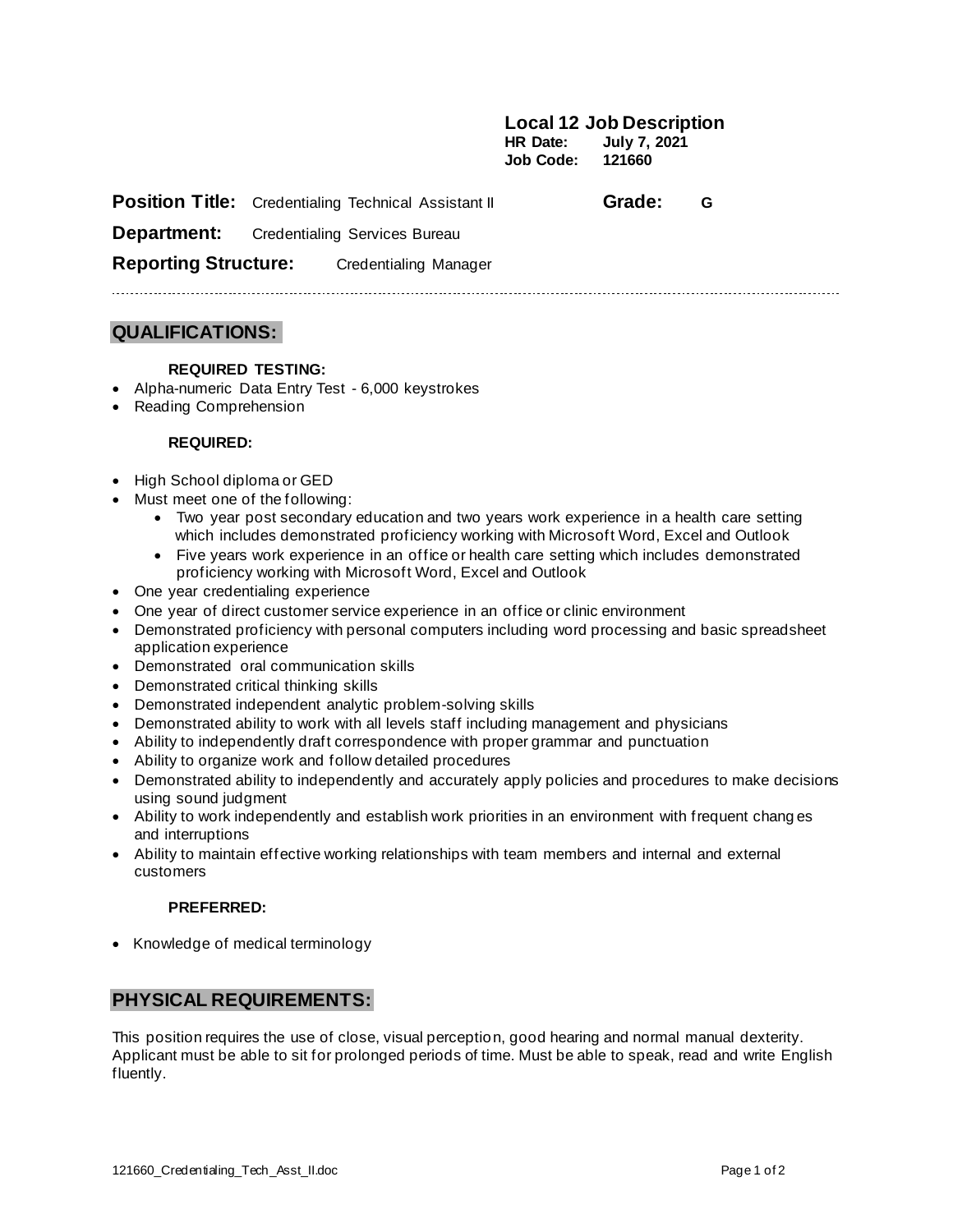**Local 12 Job Description HR Date: July 7, 2021 Job Code: 121660**

|                             | <b>Position Title:</b> Credentialing Technical Assistant II | Grade: | G |  |
|-----------------------------|-------------------------------------------------------------|--------|---|--|
| Department:                 | Credentialing Services Bureau                               |        |   |  |
| <b>Reporting Structure:</b> | Credentialing Manager                                       |        |   |  |

### **QUALIFICATIONS:**

#### **REQUIRED TESTING:**

- Alpha-numeric Data Entry Test 6,000 keystrokes
- Reading Comprehension

#### **REQUIRED:**

- High School diploma or GED
- Must meet one of the following:
	- Two year post secondary education and two years work experience in a health care setting which includes demonstrated proficiency working with Microsoft Word, Excel and Outlook
	- Five years work experience in an office or health care setting which includes demonstrated proficiency working with Microsoft Word, Excel and Outlook
- One year credentialing experience
- One year of direct customer service experience in an office or clinic environment
- Demonstrated proficiency with personal computers including word processing and basic spreadsheet application experience
- Demonstrated oral communication skills
- Demonstrated critical thinking skills
- Demonstrated independent analytic problem-solving skills
- Demonstrated ability to work with all levels staff including management and physicians
- Ability to independently draft correspondence with proper grammar and punctuation
- Ability to organize work and follow detailed procedures
- Demonstrated ability to independently and accurately apply policies and procedures to make decisions using sound judgment
- Ability to work independently and establish work priorities in an environment with frequent chang es and interruptions
- Ability to maintain effective working relationships with team members and internal and external customers

#### **PREFERRED:**

• Knowledge of medical terminology

### **PHYSICAL REQUIREMENTS:**

This position requires the use of close, visual perception, good hearing and normal manual dexterity. Applicant must be able to sit for prolonged periods of time. Must be able to speak, read and write English fluently.